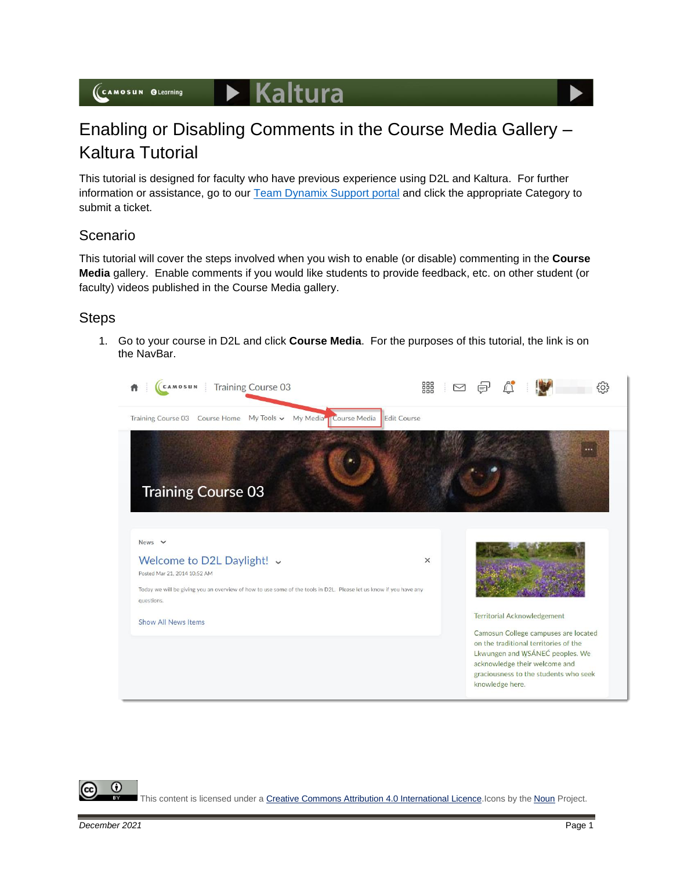# $\blacktriangleright$  Kaltura

# Enabling or Disabling Comments in the Course Media Gallery – Kaltura Tutorial

This tutorial is designed for faculty who have previous experience using D2L and Kaltura. For further information or assistance, go to our [Team Dynamix Support portal](https://camosun.teamdynamix.com/TDClient/67/Portal/Requests/ServiceCatalog?CategoryID=523) and click the appropriate Category to submit a ticket.

### Scenario

This tutorial will cover the steps involved when you wish to enable (or disable) commenting in the **Course Media** gallery. Enable comments if you would like students to provide feedback, etc. on other student (or faculty) videos published in the Course Media gallery.

#### **Steps**

1. Go to your course in D2L and click **Course Media**. For the purposes of this tutorial, the link is on the NavBar.



This content is licensed under [a Creative Commons Attribution 4.0 International Licence.I](https://creativecommons.org/licenses/by/4.0/)cons by the [Noun](https://creativecommons.org/website-icons/) Project.

G